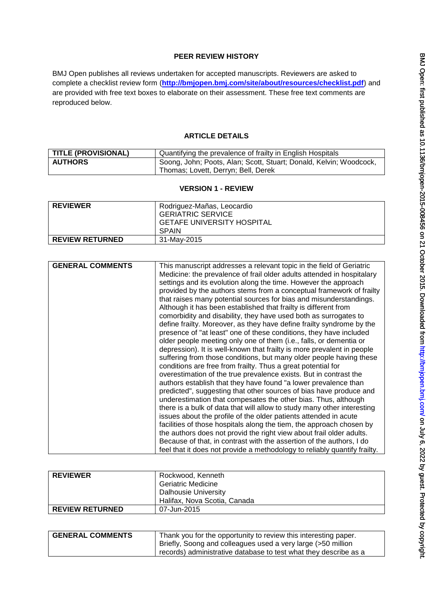## **PEER REVIEW HISTORY**

BMJ Open publishes all reviews undertaken for accepted manuscripts. Reviewers are asked to complete a checklist review form (**[http://bmjopen.bmj.com/site/about/resources/checklist.pdf\)](http://bmjopen.bmj.com/site/about/resources/checklist.pdf)** and are provided with free text boxes to elaborate on their assessment. These free text comments are reproduced below.

### **ARTICLE DETAILS**

| <b>TITLE (PROVISIONAL)</b> | Quantifying the prevalence of frailty in English Hospitals         |
|----------------------------|--------------------------------------------------------------------|
| <b>AUTHORS</b>             | Soong, John; Poots, Alan; Scott, Stuart; Donald, Kelvin; Woodcock, |
|                            | Thomas; Lovett, Derryn; Bell, Derek                                |

#### **VERSION 1 - REVIEW**

| <b>REVIEWER</b>        | Rodriguez-Mañas, Leocardio<br><b>GERIATRIC SERVICE</b><br><b>GETAFE UNIVERSITY HOSPITAL</b><br>SPAIN |
|------------------------|------------------------------------------------------------------------------------------------------|
| <b>REVIEW RETURNED</b> | 31-May-2015                                                                                          |

| <b>GENERAL COMMENTS</b> | This manuscript addresses a relevant topic in the field of Geriatric<br>Medicine: the prevalence of frail older adults attended in hospitalary<br>settings and its evolution along the time. However the approach<br>provided by the authors stems from a conceptual framework of frailty<br>that raises many potential sources for bias and misunderstandings.<br>Although it has been established that frailty is different from<br>comorbidity and disability, they have used both as surrogates to<br>define frailty. Moreover, as they have define frailty syndrome by the<br>presence of "at least" one of these conditions, they have included<br>older people meeting only one of them (i.e., falls, or dementia or<br>depression). It is well-known that frailty is more prevalent in people<br>suffering from those conditions, but many older people having these<br>conditions are free from frailty. Thus a great potential for<br>overestimation of the true prevalence exists. But in contrast the<br>authors establish that they have found "a lower prevalence than<br>predicted", suggesting that other sources of bias have produce and<br>underestimation that compesates the other bias. Thus, although<br>there is a bulk of data that will allow to study many other interesting<br>issues about the profile of the older patients attended in acute<br>facilities of those hospitals along the tiem, the approach chosen by<br>the authors does not provid the right view about frail older adults.<br>Because of that, in contrast with the assertion of the authors, I do<br>feel that it does not provide a methodology to reliably quantify frailty. |
|-------------------------|----------------------------------------------------------------------------------------------------------------------------------------------------------------------------------------------------------------------------------------------------------------------------------------------------------------------------------------------------------------------------------------------------------------------------------------------------------------------------------------------------------------------------------------------------------------------------------------------------------------------------------------------------------------------------------------------------------------------------------------------------------------------------------------------------------------------------------------------------------------------------------------------------------------------------------------------------------------------------------------------------------------------------------------------------------------------------------------------------------------------------------------------------------------------------------------------------------------------------------------------------------------------------------------------------------------------------------------------------------------------------------------------------------------------------------------------------------------------------------------------------------------------------------------------------------------------------------------------------------------------------------------------------------------------------------|

| <b>REVIEWER</b>        | Rockwood, Kenneth<br><b>Geriatric Medicine</b><br><b>Dalhousie University</b> |
|------------------------|-------------------------------------------------------------------------------|
|                        | Halifax, Nova Scotia, Canada                                                  |
| <b>REVIEW RETURNED</b> | 07-Jun-2015                                                                   |

| <b>GENERAL COMMENTS</b> | Thank you for the opportunity to review this interesting paper.  |
|-------------------------|------------------------------------------------------------------|
|                         | Briefly, Soong and colleagues used a very large (>50 million     |
|                         | records) administrative database to test what they describe as a |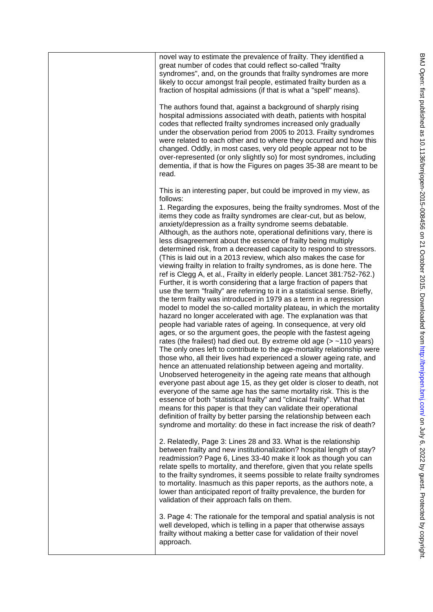| novel way to estimate the prevalence of frailty. They identified a<br>great number of codes that could reflect so-called "frailty<br>syndromes", and, on the grounds that frailty syndromes are more<br>likely to occur amongst frail people, estimated frailty burden as a<br>fraction of hospital admissions (if that is what a "spell" means).                                                                                                                                                                                                                                                                                                                                                                                                                                                                                                                                                                                                                                                                                                                                                                                                                                                                                                                                                                                                                                                                                                                                                                                                                                                                                                                                                                                                                                                                                                                                                                                                                                                                                                                             |
|-------------------------------------------------------------------------------------------------------------------------------------------------------------------------------------------------------------------------------------------------------------------------------------------------------------------------------------------------------------------------------------------------------------------------------------------------------------------------------------------------------------------------------------------------------------------------------------------------------------------------------------------------------------------------------------------------------------------------------------------------------------------------------------------------------------------------------------------------------------------------------------------------------------------------------------------------------------------------------------------------------------------------------------------------------------------------------------------------------------------------------------------------------------------------------------------------------------------------------------------------------------------------------------------------------------------------------------------------------------------------------------------------------------------------------------------------------------------------------------------------------------------------------------------------------------------------------------------------------------------------------------------------------------------------------------------------------------------------------------------------------------------------------------------------------------------------------------------------------------------------------------------------------------------------------------------------------------------------------------------------------------------------------------------------------------------------------|
| The authors found that, against a background of sharply rising<br>hospital admissions associated with death, patients with hospital<br>codes that reflected frailty syndromes increased only gradually<br>under the observation period from 2005 to 2013. Frailty syndromes<br>were related to each other and to where they occurred and how this<br>changed. Oddly, in most cases, very old people appear not to be<br>over-represented (or only slightly so) for most syndromes, including<br>dementia, if that is how the Figures on pages 35-38 are meant to be<br>read.                                                                                                                                                                                                                                                                                                                                                                                                                                                                                                                                                                                                                                                                                                                                                                                                                                                                                                                                                                                                                                                                                                                                                                                                                                                                                                                                                                                                                                                                                                  |
| This is an interesting paper, but could be improved in my view, as<br>follows:<br>1. Regarding the exposures, being the frailty syndromes. Most of the<br>items they code as frailty syndromes are clear-cut, but as below,<br>anxiety/depression as a frailty syndrome seems debatable.<br>Although, as the authors note, operational definitions vary, there is<br>less disagreement about the essence of frailty being multiply<br>determined risk, from a decreased capacity to respond to stressors.<br>(This is laid out in a 2013 review, which also makes the case for<br>viewing frailty in relation to frailty syndromes, as is done here. The<br>ref is Clegg A, et al., Frailty in elderly people. Lancet 381:752-762.)<br>Further, it is worth considering that a large fraction of papers that<br>use the term "frailty" are referring to it in a statistical sense. Briefly,<br>the term frailty was introduced in 1979 as a term in a regression<br>model to model the so-called mortality plateau, in which the mortality<br>hazard no longer accelerated with age. The explanation was that<br>people had variable rates of ageing. In consequence, at very old<br>ages, or so the argument goes, the people with the fastest ageing<br>rates (the frailest) had died out. By extreme old age $($ > $\sim$ 110 years)<br>The only ones left to contribute to the age-mortality relationship were<br>those who, all their lives had experienced a slower ageing rate, and<br>hence an attenuated relationship between ageing and mortality.<br>Unobserved heterogeneity in the ageing rate means that although<br>everyone past about age 15, as they get older is closer to death, not<br>everyone of the same age has the same mortality risk. This is the<br>essence of both "statistical frailty" and "clinical frailty". What that<br>means for this paper is that they can validate their operational<br>definition of frailty by better parsing the relationship between each<br>syndrome and mortality: do these in fact increase the risk of death? |
| 2. Relatedly, Page 3: Lines 28 and 33. What is the relationship<br>between frailty and new institutionalization? hospital length of stay?<br>readmission? Page 6, Lines 33-40 make it look as though you can<br>relate spells to mortality, and therefore, given that you relate spells<br>to the frailty syndromes, it seems possible to relate frailty syndromes<br>to mortality. Inasmuch as this paper reports, as the authors note, a<br>lower than anticipated report of frailty prevalence, the burden for<br>validation of their approach falls on them.                                                                                                                                                                                                                                                                                                                                                                                                                                                                                                                                                                                                                                                                                                                                                                                                                                                                                                                                                                                                                                                                                                                                                                                                                                                                                                                                                                                                                                                                                                              |
| 3. Page 4: The rationale for the temporal and spatial analysis is not<br>well developed, which is telling in a paper that otherwise assays<br>frailty without making a better case for validation of their novel<br>approach.                                                                                                                                                                                                                                                                                                                                                                                                                                                                                                                                                                                                                                                                                                                                                                                                                                                                                                                                                                                                                                                                                                                                                                                                                                                                                                                                                                                                                                                                                                                                                                                                                                                                                                                                                                                                                                                 |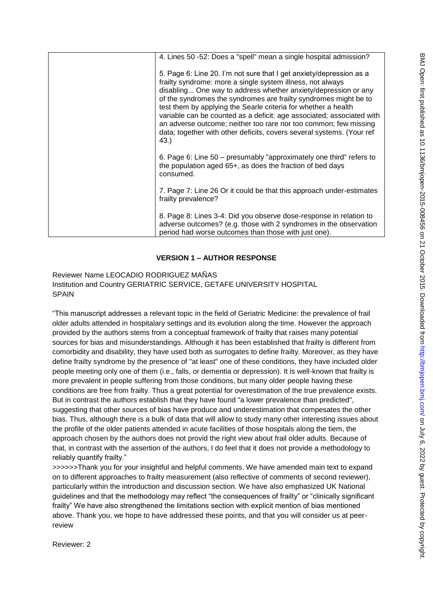| frailty prevalence?<br>8. Page 8: Lines 3-4: Did you observe dose-response in relation to<br>adverse outcomes? (e.g. those with 2 syndromes in the observation<br>period had worse outcomes than those with just one).                                                                                                                                                                                                                                                                                                                                                  |
|-------------------------------------------------------------------------------------------------------------------------------------------------------------------------------------------------------------------------------------------------------------------------------------------------------------------------------------------------------------------------------------------------------------------------------------------------------------------------------------------------------------------------------------------------------------------------|
| 7. Page 7: Line 26 Or it could be that this approach under-estimates                                                                                                                                                                                                                                                                                                                                                                                                                                                                                                    |
| 6. Page 6: Line 50 – presumably "approximately one third" refers to<br>the population aged 65+, as does the fraction of bed days<br>consumed.                                                                                                                                                                                                                                                                                                                                                                                                                           |
| 5. Page 6: Line 20. I'm not sure that I get anxiety/depression as a<br>frailty syndrome: more a single system illness, not always<br>disabling One way to address whether anxiety/depression or any<br>of the syndromes the syndromes are frailty syndromes might be to<br>test them by applying the Searle criteria for whether a health<br>variable can be counted as a deficit: age associated; associated with<br>an adverse outcome; neither too rare nor too common; few missing<br>data; together with other deficits, covers several systems. (Your ref<br>43.) |
| 4. Lines 50 -52: Does a "spell" mean a single hospital admission?                                                                                                                                                                                                                                                                                                                                                                                                                                                                                                       |

## **VERSION 1 – AUTHOR RESPONSE**

Reviewer Name LEOCADIO RODRIGUEZ MAÑAS Institution and Country GERIATRIC SERVICE, GETAFE UNIVERSITY HOSPITAL SPAIN

"This manuscript addresses a relevant topic in the field of Geriatric Medicine: the prevalence of frail older adults attended in hospitalary settings and its evolution along the time. However the approach provided by the authors stems from a conceptual framework of frailty that raises many potential sources for bias and misunderstandings. Although it has been established that frailty is different from comorbidity and disability, they have used both as surrogates to define frailty. Moreover, as they have define frailty syndrome by the presence of "at least" one of these conditions, they have included older people meeting only one of them (i.e., falls, or dementia or depression). It is well-known that frailty is more prevalent in people suffering from those conditions, but many older people having these conditions are free from frailty. Thus a great potential for overestimation of the true prevalence exists. But in contrast the authors establish that they have found "a lower prevalence than predicted", suggesting that other sources of bias have produce and underestimation that compesates the other bias. Thus, although there is a bulk of data that will allow to study many other interesting issues about the profile of the older patients attended in acute facilities of those hospitals along the tiem, the approach chosen by the authors does not provid the right view about frail older adults. Because of that, in contrast with the assertion of the authors, I do feel that it does not provide a methodology to reliably quantify frailty."

>>>>>>Thank you for your insightful and helpful comments. We have amended main text to expand on to different approaches to frailty measurement (also reflective of comments of second reviewer), particularly within the introduction and discussion section. We have also emphasized UK National guidelines and that the methodology may reflect "the consequences of frailty" or "clinically significant frailty" We have also strengthened the limitations section with explicit mention of bias mentioned above. Thank you, we hope to have addressed these points, and that you will consider us at peerreview

Reviewer: 2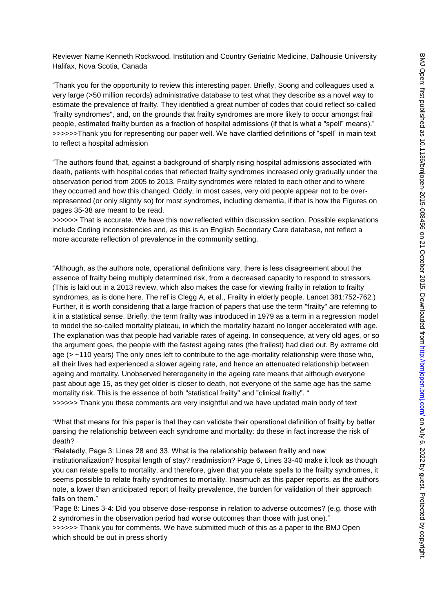Reviewer Name Kenneth Rockwood, Institution and Country Geriatric Medicine, Dalhousie University Halifax, Nova Scotia, Canada

"Thank you for the opportunity to review this interesting paper. Briefly, Soong and colleagues used a very large (>50 million records) administrative database to test what they describe as a novel way to estimate the prevalence of frailty. They identified a great number of codes that could reflect so-called "frailty syndromes", and, on the grounds that frailty syndromes are more likely to occur amongst frail people, estimated frailty burden as a fraction of hospital admissions (if that is what a "spell" means)." >>>>>>Thank you for representing our paper well. We have clarified definitions of "spell" in main text to reflect a hospital admission

"The authors found that, against a background of sharply rising hospital admissions associated with death, patients with hospital codes that reflected frailty syndromes increased only gradually under the observation period from 2005 to 2013. Frailty syndromes were related to each other and to where they occurred and how this changed. Oddly, in most cases, very old people appear not to be overrepresented (or only slightly so) for most syndromes, including dementia, if that is how the Figures on pages 35-38 are meant to be read.

>>>>>> That is accurate. We have this now reflected within discussion section. Possible explanations include Coding inconsistencies and, as this is an English Secondary Care database, not reflect a more accurate reflection of prevalence in the community setting.

"Although, as the authors note, operational definitions vary, there is less disagreement about the essence of frailty being multiply determined risk, from a decreased capacity to respond to stressors. (This is laid out in a 2013 review, which also makes the case for viewing frailty in relation to frailty syndromes, as is done here. The ref is Clegg A, et al., Frailty in elderly people. Lancet 381:752-762.) Further, it is worth considering that a large fraction of papers that use the term "frailty" are referring to it in a statistical sense. Briefly, the term frailty was introduced in 1979 as a term in a regression model to model the so-called mortality plateau, in which the mortality hazard no longer accelerated with age. The explanation was that people had variable rates of ageing. In consequence, at very old ages, or so the argument goes, the people with the fastest ageing rates (the frailest) had died out. By extreme old age ( $>$  ~110 years) The only ones left to contribute to the age-mortality relationship were those who, all their lives had experienced a slower ageing rate, and hence an attenuated relationship between ageing and mortality. Unobserved heterogeneity in the ageing rate means that although everyone past about age 15, as they get older is closer to death, not everyone of the same age has the same mortality risk. This is the essence of both "statistical frailty" and "clinical frailty". "

>>>>>> Thank you these comments are very insightful and we have updated main body of text

"What that means for this paper is that they can validate their operational definition of frailty by better parsing the relationship between each syndrome and mortality: do these in fact increase the risk of death?

"Relatedly, Page 3: Lines 28 and 33. What is the relationship between frailty and new

institutionalization? hospital length of stay? readmission? Page 6, Lines 33-40 make it look as though you can relate spells to mortality, and therefore, given that you relate spells to the frailty syndromes, it seems possible to relate frailty syndromes to mortality. Inasmuch as this paper reports, as the authors note, a lower than anticipated report of frailty prevalence, the burden for validation of their approach falls on them."

"Page 8: Lines 3-4: Did you observe dose-response in relation to adverse outcomes? (e.g. those with 2 syndromes in the observation period had worse outcomes than those with just one)."

>>>>>> Thank you for comments. We have submitted much of this as a paper to the BMJ Open which should be out in press shortly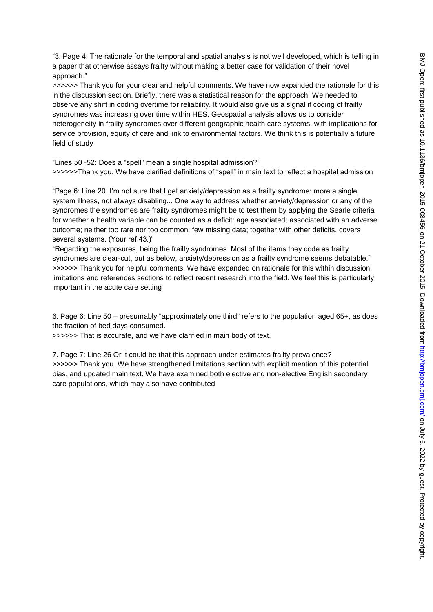"3. Page 4: The rationale for the temporal and spatial analysis is not well developed, which is telling in a paper that otherwise assays frailty without making a better case for validation of their novel approach."

>>>>>> Thank you for your clear and helpful comments. We have now expanded the rationale for this in the discussion section. Briefly, there was a statistical reason for the approach. We needed to observe any shift in coding overtime for reliability. It would also give us a signal if coding of frailty syndromes was increasing over time within HES. Geospatial analysis allows us to consider heterogeneity in frailty syndromes over different geographic health care systems, with implications for service provision, equity of care and link to environmental factors. We think this is potentially a future field of study

"Lines 50 -52: Does a "spell" mean a single hospital admission?" >>>>>>Thank you. We have clarified definitions of "spell" in main text to reflect a hospital admission

"Page 6: Line 20. I'm not sure that I get anxiety/depression as a frailty syndrome: more a single system illness, not always disabling... One way to address whether anxiety/depression or any of the syndromes the syndromes are frailty syndromes might be to test them by applying the Searle criteria for whether a health variable can be counted as a deficit: age associated; associated with an adverse outcome; neither too rare nor too common; few missing data; together with other deficits, covers several systems. (Your ref 43.)"

"Regarding the exposures, being the frailty syndromes. Most of the items they code as frailty syndromes are clear-cut, but as below, anxiety/depression as a frailty syndrome seems debatable." >>>>>> Thank you for helpful comments. We have expanded on rationale for this within discussion, limitations and references sections to reflect recent research into the field. We feel this is particularly important in the acute care setting

6. Page 6: Line 50 – presumably "approximately one third" refers to the population aged 65+, as does the fraction of bed days consumed.

>>>>>> That is accurate, and we have clarified in main body of text.

7. Page 7: Line 26 Or it could be that this approach under-estimates frailty prevalence? >>>>>> Thank you. We have strengthened limitations section with explicit mention of this potential bias, and updated main text. We have examined both elective and non-elective English secondary care populations, which may also have contributed